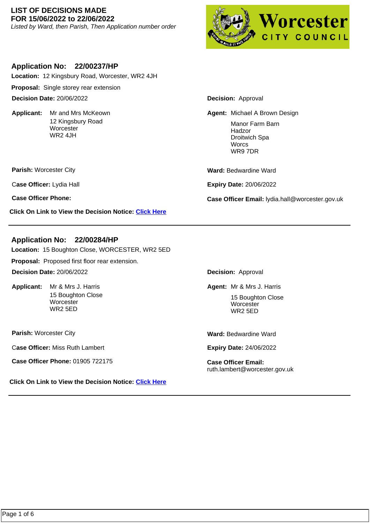#### **LIST OF DECISIONS MADE FOR 15/06/2022 to 22/06/2022**

Listed by Ward, then Parish, Then Application number order



### **Application No: 22/00237/HP**

**Location:** 12 Kingsbury Road, Worcester, WR2 4JH

**Proposal:** Single storey rear extension

**Decision Date:** 20/06/2022

Applicant: Mr and Mrs McKeown 12 Kingsbury Road **Worcester** WR2 4JH

**Parish:** Worcester City

C**ase Officer:** Lydia Hall

**Click On Link to View the Decision Notice: [Click Here](https://plan.worcester.gov.uk/Planning/Display/22/00237/HP)**

**Decision:** Approval

Mr and Mrs McKeown **Michael A Brown Design Michael A Brown Design** Manor Farm Barn Hadzor Droitwich Spa **Worcs** WR9 7DR

**Ward:** Bedwardine Ward

**Expiry Date:** 20/06/2022

**Case Officer Phone: Case Officer Email:** lydia.hall@worcester.gov.uk

### **Application No: 22/00284/HP**

**Location:** 15 Boughton Close, WORCESTER, WR2 5ED

**Proposal:** Proposed first floor rear extension.

**Decision Date:** 20/06/2022

Applicant: Mr & Mrs J. Harris 15 Boughton Close **Worcester** WR2 5ED

**Parish:** Worcester City

C**ase Officer:** Miss Ruth Lambert

**Case Officer Phone:** 01905 722175 **Case Officer Email:** 

**Click On Link to View the Decision Notice: [Click Here](https://plan.worcester.gov.uk/Planning/Display/22/00284/HP)**

**Decision:** Approval

**Mr & Mrs J. Harris No. 2018 19:30 Agent: Mr & Mrs J. Harris** 15 Boughton Close **Worcester** WR2 5ED

**Ward:** Bedwardine Ward

**Expiry Date:** 24/06/2022

ruth.lambert@worcester.gov.uk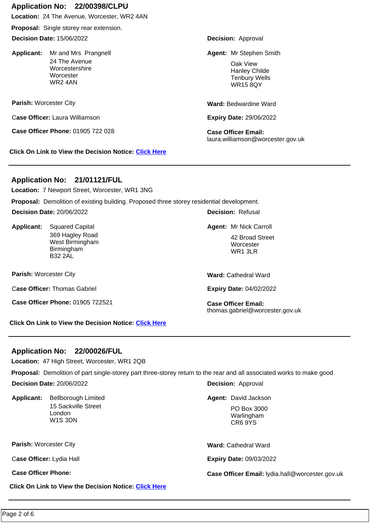# **Application No: 22/00398/CLPU**

**Location:** 24 The Avenue, Worcester, WR2 4AN

**Proposal:** Single storey rear extension.

**Decision Date:** 15/06/2022

Applicant: Mr and Mrs Prangnell 24 The Avenue Worcestershire **Worcester** WR2 4AN

**Parish:** Worcester City

C**ase Officer:** Laura Williamson

**Case Officer Phone:** 01905 722 028 **Case Officer Email:** 

**Click On Link to View the Decision Notice: [Click Here](https://plan.worcester.gov.uk/Planning/Display/22/00398/CLPU)**

**Decision:** Approval

Mr and Mrs Prangnell **Agent:** Mr Stephen Smith

Oak View Hanley Childe Tenbury Wells WR15 8QY

**Ward:** Bedwardine Ward

**Expiry Date:** 29/06/2022

laura.williamson@worcester.gov.uk

## **Application No: 21/01121/FUL**

**Location:** 7 Newport Street, Worcester, WR1 3NG

**Proposal:** Demolition of existing building. Proposed three storey residential development.

**Decision Date:** 20/06/2022

Applicant: Squared Capital 369 Hagley Road West Birmingham Birmingham B32 2AL Squared Capital **Agent:** Mr Nick Carroll

**Parish:** Worcester City

C**ase Officer:** Thomas Gabriel

**Case Officer Phone:** 01905 722521 **Case Officer Email:** 

**Click On Link to View the Decision Notice: [Click Here](https://plan.worcester.gov.uk/Planning/Display/21/01121/FUL)**

**Decision:** Refusal

42 Broad Street **Worcester** WR1 3LR

**Ward:** Cathedral Ward

**Expiry Date:** 04/02/2022

thomas.gabriel@worcester.gov.uk

## **Application No: 22/00026/FUL**

**Location:** 47 High Street, Worcester, WR1 2QB

**Proposal:** Demolition of part single-storey part three-storey return to the rear and all associated works to make good

**Decision Date:** 20/06/2022

Applicant: Bellborough Limited 15 Sackville Street London W1S 3DN

**Parish:** Worcester City

C**ase Officer:** Lydia Hall

**Click On Link to View the Decision Notice: [Click Here](https://plan.worcester.gov.uk/Planning/Display/22/00026/FUL)**

**Decision:** Approval

**Bellborough Limited Case Control Control Control Control Control Agent: David Jackson** 

PO Box 3000 Warlingham CR6 9YS

**Ward:** Cathedral Ward

**Expiry Date:** 09/03/2022

**Case Officer Phone: Case Officer Email:** lydia.hall@worcester.gov.uk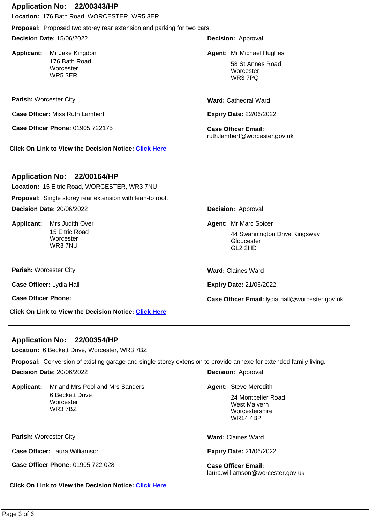#### **Application No: 22/00343/HP**

**Location:** 176 Bath Road, WORCESTER, WR5 3ER

**Proposal:** Proposed two storey rear extension and parking for two cars.

**Decision Date:** 15/06/2022

Applicant: Mr Jake Kingdon 176 Bath Road **Worcester** WR5 3ER

**Parish:** Worcester City

C**ase Officer:** Miss Ruth Lambert

**Case Officer Phone:** 01905 722175 **Case Officer Email:** 

**Click On Link to View the Decision Notice: [Click Here](https://plan.worcester.gov.uk/Planning/Display/22/00343/HP)**

**Decision:** Approval

Mr Jake Kingdon Matter of Matter Medicine Matter of Matter Mr Michael Hughes

58 St Annes Road **Worcester** WR3 7PQ

**Ward:** Cathedral Ward

**Expiry Date:** 22/06/2022

ruth.lambert@worcester.gov.uk

#### **Application No: 22/00164/HP**

**Location:** 15 Eltric Road, WORCESTER, WR3 7NU

**Proposal:** Single storey rear extension with lean-to roof. **Decision Date:** 20/06/2022

Applicant: Mrs Judith Over 15 Eltric Road **Worcester** WR3 7NU

**Parish:** Worcester City

C**ase Officer:** Lydia Hall

**Click On Link to View the Decision Notice: [Click Here](https://plan.worcester.gov.uk/Planning/Display/22/00164/HP)**

**Decision:** Approval

Mrs Judith Over **Mrs** Agent: Mr Marc Spicer

44 Swannington Drive Kingsway **Gloucester** GL2 2HD

**Ward:** Claines Ward

**Expiry Date:** 21/06/2022

**Case Officer Phone: Case Officer Email:** lydia.hall@worcester.gov.uk

### **Application No: 22/00354/HP**

**Location:** 6 Beckett Drive, Worcester, WR3 7BZ

**Proposal:** Conversion of existing garage and single storey extension to provide annexe for extended family living.

**Decision Date:** 20/06/2022

Applicant: Mr and Mrs Pool and Mrs Sanders **State Agent: Steve Meredith** 6 Beckett Drive **Worcester** WR3 7BZ

**Parish:** Worcester City

C**ase Officer:** Laura Williamson

**Case Officer Phone:** 01905 722 028 **Case Officer Email:** 

**Click On Link to View the Decision Notice: [Click Here](https://plan.worcester.gov.uk/Planning/Display/22/00354/HP)**

**Decision:** Approval

Agent: Steve Meredith

24 Montpelier Road West Malvern Worcestershire WR14 4BP

**Ward:** Claines Ward

**Expiry Date:** 21/06/2022

laura.williamson@worcester.gov.uk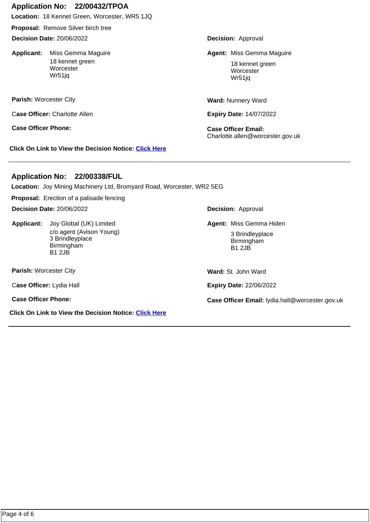### **Application No: 22/00432/TPOA**

**Location:** 18 Kennet Green, Worcester, WR5 1JQ

**Proposal:** Remove Silver birch tree

**Decision Date:** 20/06/2022

Applicant: Miss Gemma Maquire 18 kennet green **Worcester** Wr51jq

**Parish:** Worcester City

C**ase Officer:** Charlotte Allen

**Case Officer Phone: Case Officer Email:** 

**Click On Link to View the Decision Notice: [Click Here](https://plan.worcester.gov.uk/Planning/Display/22/00432/TPOA)**

**Decision:** Approval

Miss Gemma Maguire **Miss Agent: Miss Gemma Maguire** Agent: Miss Gemma Maguire

18 kennet green Worcester Wr51jq

**Ward:** Nunnery Ward

**Expiry Date:** 14/07/2022

Charlotte.allen@worcester.gov.uk

## **Application No: 22/00338/FUL**

**Location:** Joy Mining Machinery Ltd, Bromyard Road, Worcester, WR2 5EG

**Proposal:** Erection of a palisade fencing

**Decision Date:** 20/06/2022

**Applicant:**  c/o agent (Avison Young) 3 Brindleyplace Birmingham B1 2JB

**Parish:** Worcester City

C**ase Officer:** Lydia Hall

**Click On Link to View the Decision Notice: [Click Here](https://plan.worcester.gov.uk/Planning/Display/22/00338/FUL)**

**Decision:** Approval

Joy Global (UK) Limited **Miss Agent: Miss Gemma Hiden** 

3 Brindleyplace Birmingham B1 2JB

**Ward:** St. John Ward

**Expiry Date:** 22/06/2022

**Case Officer Phone: Case Officer Email:** lydia.hall@worcester.gov.uk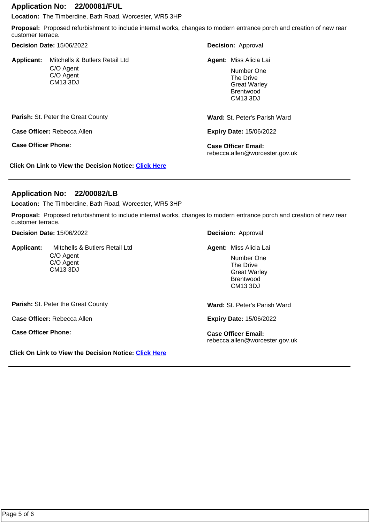#### **Application No: 22/00081/FUL**

**Location:** The Timberdine, Bath Road, Worcester, WR5 3HP

**Proposal:** Proposed refurbishment to include internal works, changes to modern entrance porch and creation of new rear customer terrace.

#### **Decision Date:** 15/06/2022

**Applicant:**  C/O Agent C/O Agent CM13 3DJ Mitchells & Butlers Retail Ltd **Decision:** Approval

Agent: Miss Alicia Lai

Number One The Drive Great Warley Brentwood CM13 3DJ

**Parish: St. Peter the Great County** 

C**ase Officer:** Rebecca Allen

**Case Officer Phone: Case Officer Email:** 

**Click On Link to View the Decision Notice: [Click Here](https://plan.worcester.gov.uk/Planning/Display/22/00081/FUL)**

**Ward:** St. Peter's Parish Ward

**Expiry Date:** 15/06/2022

rebecca.allen@worcester.gov.uk

### **Application No: 22/00082/LB**

**Location:** The Timberdine, Bath Road, Worcester, WR5 3HP

**Proposal:** Proposed refurbishment to include internal works, changes to modern entrance porch and creation of new rear customer terrace.

**Decision Date:** 15/06/2022

**Applicant:**  C/O Agent C/O Agent CM13 3DJ Mitchells & Butlers Retail Ltd **Decision:** Approval

Agent: Miss Alicia Lai

Number One The Drive Great Warley Brentwood CM13 3DJ

Parish: St. Peter the Great County

C**ase Officer:** Rebecca Allen

**Case Officer Phone: Case Officer Email:** 

**Click On Link to View the Decision Notice: [Click Here](https://plan.worcester.gov.uk/Planning/Display/22/00082/LB)**

**Ward:** St. Peter's Parish Ward

**Expiry Date:** 15/06/2022

rebecca.allen@worcester.gov.uk